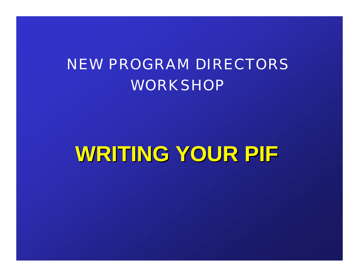#### NEW PROGRAM DIRECTORS **WORKSHOP**

# **WRITING YOUR PIF WRITING YOUR PIF**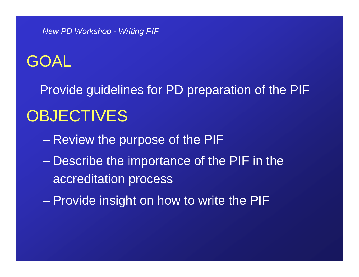#### GOAL

Provide guidelines for PD preparation of the PIF **OBJECTIVES** 

- Review the purpose of the PIF
- Describe the importance of the PIF in the accreditation process
- Provide insight on how to write the PIF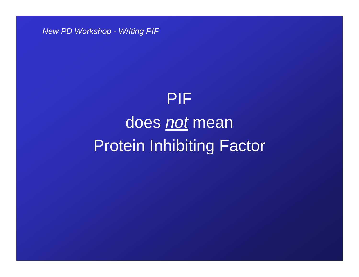# PIF does *not* mean Protein Inhibiting Factor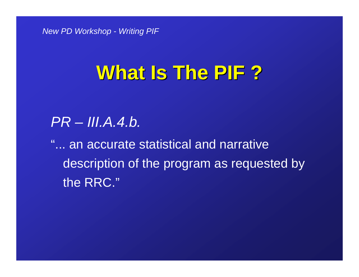#### **What Is The PIF ? What Is The PIF ?**

#### *PR – III.A.4.b.*

"... an accurate statistical and narrative description of the program as requested by the RRC."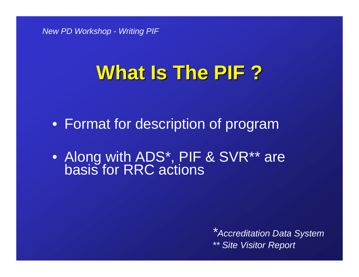# **What Is The PIF ? What Is The PIF ?**

• Format for description of program

• Along with ADS\*, PIF & SVR\*\* are basis for RRC actions

*\*Accreditation Data System \*\* Site Visitor Report*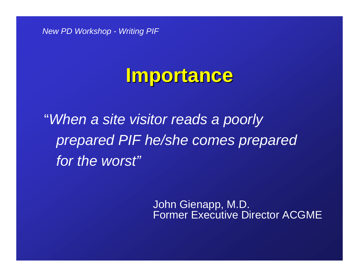#### **Importance Importance**

"*When a site visitor reads a poorly prepared PIF he/she comes prepared for the worst"*

> John Gienapp, M.D. Former Executive Director ACGME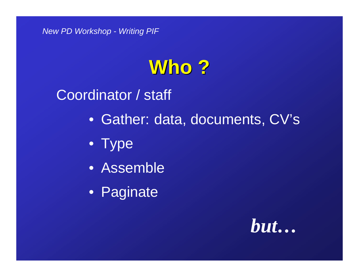# **Who ?**

Coordinator / staff

- Gather: data, documents, CV's
- Type
- Assemble
- Paginate

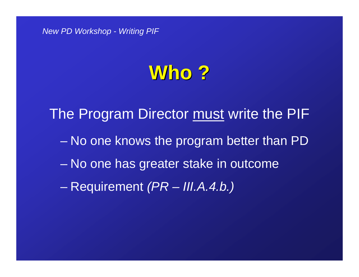#### **Who ?**

 No one knows the program better than PD No one has greater stake in outcome Requirement *(PR – III.A.4.b.)* The Program Director must write the PIF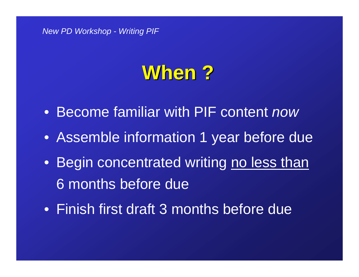#### **When ?**

- Become familiar with PIF content *now*
- Assemble information 1 year before due
- Begin concentrated writing <u>no less than</u> 6 months before due
- Finish first draft 3 months before due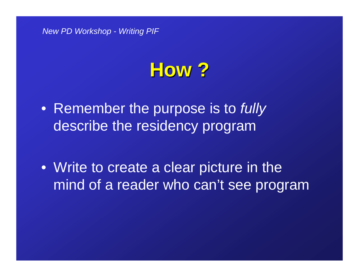#### **How ?**

- Remember the purpose is to *fully*  describe the residency program
- Write to create a clear picture in the mind of a reader who can't see program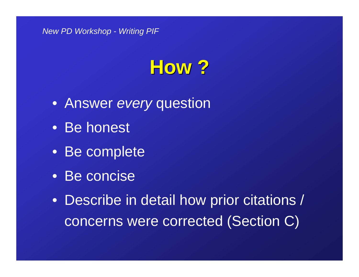# **How ?**

- Answer *every* question
- Be honest
- Be complete
- Be concise
- Describe in detail how prior citations / concerns were corrected (Section C)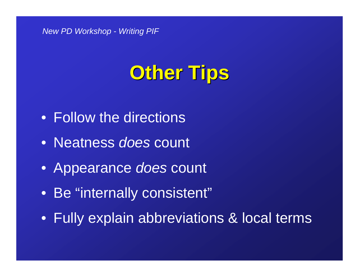# **Other Tips Other Tips**

- Follow the directions
- Neatness *does* count
- Appearance *does* count
- Be "internally consistent"
- Fully explain abbreviations & local terms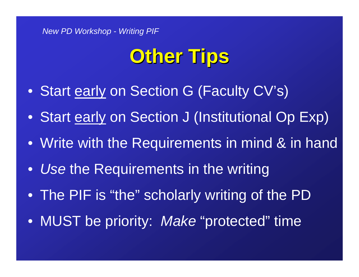# **Other Tips Other Tips**

- Start <u>early</u> on Section G (Faculty CV's)
- $\bullet$ Start early on Section J (Institutional Op Exp)
- Write with the Requirements in mind & in hand
- $\bullet$ *Use* the Requirements in the writing
- The PIF is "the" scholarly writing of the PD
- MUST be priority: *Make* "protected" time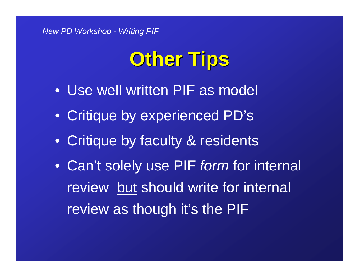# **Other Tips Other Tips**

- Use well written PIF as model
- Critique by experienced PD's
- Critique by faculty & residents
- Can't solely use PIF *form* for internal review but should write for internal review as though it's the PIF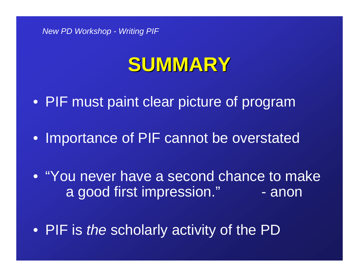#### **SUMMARY SUMMARY**

• PIF must paint clear picture of program

• Importance of PIF cannot be overstated

• "You never have a second chance to make a good first impression." - anon

• PIF is *the* scholarly activity of the PD